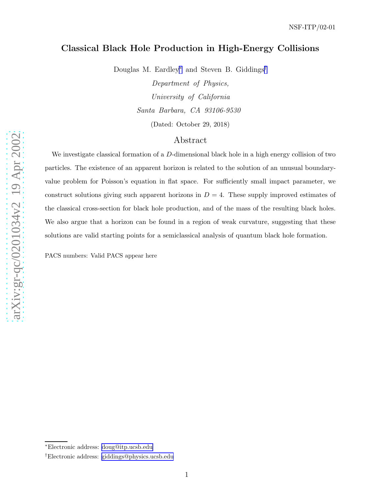# Classical Black Hole Production in High-Energy Collisions

Douglas M. Eardley<sup>∗</sup> and Steven B. Giddings<sup>†</sup>

Department of Physics, University of California Santa Barbara, CA 93106-9530 (Dated: October 29, 2018)

# Abstract

We investigate classical formation of a D-dimensional black hole in a high energy collision of two particles. The existence of an apparent horizon is related to the solution of an unusual boundaryvalue problem for Poisson's equation in flat space. For sufficiently small impact parameter, we construct solutions giving such apparent horizons in  $D = 4$ . These supply improved estimates of the classical cross-section for black hole production, and of the mass of the resulting black holes. We also argue that a horizon can be found in a region of weak curvature, suggesting that these solutions are valid starting points for a semiclassical analysis of quantum black hole formation.

PACS numbers: Valid PACS appear here

1

<sup>∗</sup>Electronic address: [doug@itp.ucsb.edu](mailto:doug@itp.ucsb.edu)

<sup>†</sup>Electronic address: [giddings@physics.ucsb.edu](mailto:giddings@physics.ucsb.edu)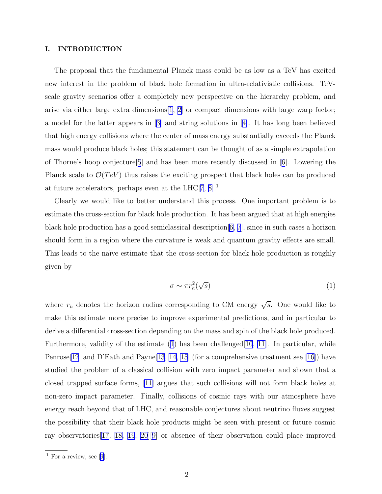### <span id="page-1-0"></span>I. INTRODUCTION

The proposal that the fundamental Planck mass could be as low as a TeV has excited new interest in the problem of black hole formation in ultra-relativistic collisions. TeVscale gravity scenarios offer a completely new perspective on the hierarchy problem, and arise via either large extra dimensions[\[1](#page-15-0), [2\]](#page-15-0) or compact dimensions with large warp factor; a model for the latter appears in[[3\]](#page-15-0) and string solutions in[[4\]](#page-15-0). It has long been believed that high energy collisions where the center of mass energy substantially exceeds the Planck mass would produce black holes; this statement can be thought of as a simple extrapolation ofThorne's hoop conjecture  $[5]$  $[5]$  $[5]$  and has been more recently discussed in  $[6]$  $[6]$  $[6]$ . Lowering the Planck scale to  $\mathcal{O}(TeV)$  thus raises the exciting prospect that black holes can be produced at future accelerators, perhaps even at the LHC $[7, 8]$ <sup>1</sup>

Clearly we would like to better understand this process. One important problem is to estimate the cross-section for black hole production. It has been argued that at high energies black hole production has a good semiclassical description  $[6, 7]$  $[6, 7]$  $[6, 7]$ , since in such cases a horizon should form in a region where the curvature is weak and quantum gravity effects are small. This leads to the naïve estimate that the cross-section for black hole production is roughly given by

$$
\sigma \sim \pi r_h^2(\sqrt{s})\tag{1}
$$

where  $r_h$  denotes the horizon radius corresponding to CM energy  $\sqrt{s}$ . One would like to make this estimate more precise to improve experimental predictions, and in particular to derive a differential cross-section depending on the mass and spin of the black hole produced. Furthermore, validity of the estimate  $(1)$  has been challenged  $[10, 11]$  $[10, 11]$  $[10, 11]$  $[10, 11]$ . In particular, while Penrose[[12](#page-15-0)] and D'Eath and Payne[\[13](#page-15-0), [14, 15](#page-15-0)] (for a comprehensive treatment see [\[16\]](#page-15-0)) have studied the problem of a classical collision with zero impact parameter and shown that a closed trapped surface forms, [\[11\]](#page-15-0) argues that such collisions will not form black holes at non-zero impact parameter. Finally, collisions of cosmic rays with our atmosphere have energy reach beyond that of LHC, and reasonable conjectures about neutrino fluxes suggest the possibility that their black hole products might be seen with present or future cosmic ray observatories[[17, 18, 19](#page-15-0), [20](#page-15-0)][[9\]](#page-15-0) or absence of their observation could place improved

<sup>&</sup>lt;sup>1</sup> For a review, see [\[9](#page-15-0)].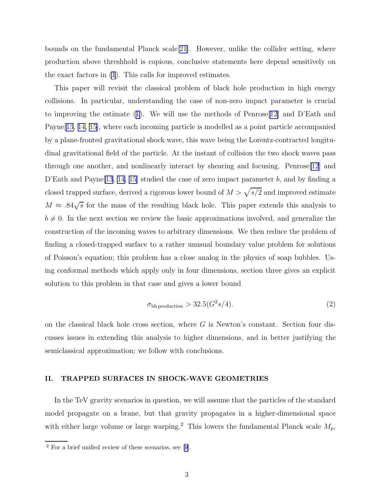bounds on the fundamental Planck scale[[21\]](#page-15-0). However, unlike the collider setting, where production above threshhold is copious, conclusive statements here depend sensitively on the exact factors in [\(1](#page-1-0)). This calls for improved estimates.

This paper will revisit the classical problem of black hole production in high energy collisions. In particular, understanding the case of non-zero impact parameter is crucial to improving the estimate([1\)](#page-1-0). We will use the methods of Penrose[\[12\]](#page-15-0) and D'Eath and Payne[\[13, 14, 15](#page-15-0)], where each incoming particle is modelled as a point particle accompanied by a plane-fronted gravitational shock wave, this wave being the Lorentz-contracted longitudinal gravitational field of the particle. At the instant of collision the two shock waves pass through one another, and nonlinearly interact by shearing and focusing. Penrose[\[12](#page-15-0)] and D'Eath and Payne<sup>[\[13](#page-15-0), [14](#page-15-0), [15\]](#page-15-0)</sup> studied the case of zero impact parameter b, and by finding a closed trapped surface, derived a rigorous lower bound of  $M > \sqrt{s/2}$  and improved estimate  $M \approx .84\sqrt{s}$  for the mass of the resulting black hole. This paper extends this analysis to  $b \neq 0$ . In the next section we review the basic approximations involved, and generalize the construction of the incoming waves to arbitrary dimensions. We then reduce the problem of finding a closed-trapped surface to a rather unusual boundary value problem for solutions of Poisson's equation; this problem has a close analog in the physics of soap bubbles. Using conformal methods which apply only in four dimensions, section three gives an explicit solution to this problem in that case and gives a lower bound

$$
\sigma_{\text{bh production}} > 32.5(G^2s/4). \tag{2}
$$

on the classical black hole cross section, where  $G$  is Newton's constant. Section four discusses issues in extending this analysis to higher dimensions, and in better justifying the semiclassical approximation; we follow with conclusions.

### II. TRAPPED SURFACES IN SHOCK-WAVE GEOMETRIES

In the TeV gravity scenarios in question, we will assume that the particles of the standard model propagate on a brane, but that gravity propagates in a higher-dimensional space with either large volume or large warping.<sup>2</sup> This lowers the fundamental Planck scale  $M_p$ ,

<sup>2</sup> For a brief unified review of these scenarios, see[[9\]](#page-15-0).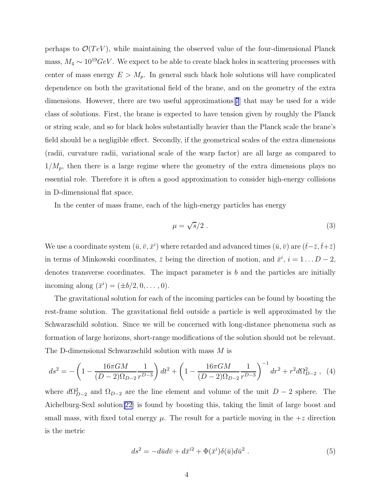<span id="page-3-0"></span>perhaps to  $\mathcal{O}(TeV)$ , while maintaining the observed value of the four-dimensional Planck mass,  $M_4 \sim 10^{19} \text{GeV}$ . We expect to be able to create black holes in scattering processes with center of mass energy  $E > M_p$ . In general such black hole solutions will have complicated dependence on both the gravitational field of the brane, and on the geometry of the extra dimensions. However, there are two useful approximations[[7](#page-15-0)] that may be used for a wide class of solutions. First, the brane is expected to have tension given by roughly the Planck or string scale, and so for black holes substantially heavier than the Planck scale the brane's field should be a negligible effect. Secondly, if the geometrical scales of the extra dimensions (radii, curvature radii, variational scale of the warp factor) are all large as compared to  $1/M_p$ , then there is a large regime where the geometry of the extra dimensions plays no essential role. Therefore it is often a good approximation to consider high-energy collisions in D-dimensional flat space.

In the center of mass frame, each of the high-energy particles has energy

$$
\mu = \sqrt{s}/2 \tag{3}
$$

We use a coordinate system  $(\bar{u}, \bar{v}, \bar{x}^i)$  where retarded and advanced times  $(\bar{u}, \bar{v})$  are  $(\bar{t}-\bar{z}, \bar{t}+\bar{z})$ in terms of Minkowski coordinates,  $\bar{z}$  being the direction of motion, and  $\bar{x}^i$ ,  $i = 1...D - 2$ , denotes transverse coordinates. The impact parameter is  $b$  and the particles are initially incoming along  $(\bar{x}^i) = (\pm b/2, 0, ..., 0)$ .

The gravitational solution for each of the incoming particles can be found by boosting the rest-frame solution. The gravitational field outside a particle is well approximated by the Schwarzschild solution. Since we will be concerned with long-distance phenomena such as formation of large horizons, short-range modifications of the solution should not be relevant. The D-dimensional Schwarzschild solution with mass M is

$$
ds^{2} = -\left(1 - \frac{16\pi GM}{(D-2)\Omega_{D-2}}\frac{1}{r^{D-3}}\right)dt^{2} + \left(1 - \frac{16\pi GM}{(D-2)\Omega_{D-2}}\frac{1}{r^{D-3}}\right)^{-1}dr^{2} + r^{2}d\Omega_{D-2}^{2} , \tag{4}
$$

where  $d\Omega_{D-2}^2$  and  $\Omega_{D-2}$  are the line element and volume of the unit  $D-2$  sphere. The Aichelburg-Sexl solution[\[22](#page-16-0)] is found by boosting this, taking the limit of large boost and small mass, with fixed total energy  $\mu$ . The result for a particle moving in the  $+z$  direction is the metric

$$
ds^2 = -d\bar{u}d\bar{v} + d\bar{x}^{i2} + \Phi(\bar{x}^i)\delta(\bar{u})d\bar{u}^2.
$$
 (5)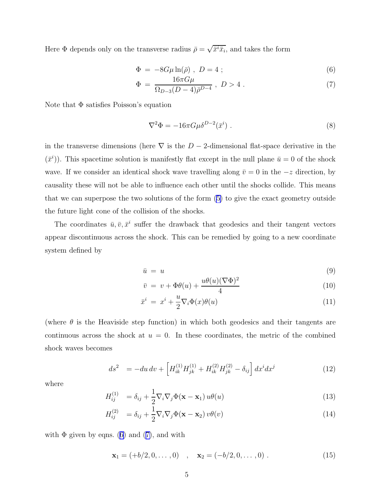<span id="page-4-0"></span>Here  $\Phi$  depends only on the transverse radius  $\bar{\rho} = \sqrt{\bar{x}^i \bar{x}_i}$ , and takes the form

$$
\Phi = -8G\mu \ln(\bar{\rho}), \ D = 4 ; \tag{6}
$$

$$
\Phi = \frac{16\pi G\mu}{\Omega_{D-3}(D-4)\bar{\rho}^{D-4}}, \ D > 4. \tag{7}
$$

Note that Φ satisfies Poisson's equation

$$
\nabla^2 \Phi = -16\pi G \mu \delta^{D-2}(\bar{x}^i) . \tag{8}
$$

in the transverse dimensions (here  $\nabla$  is the  $D-2$ -dimensional flat-space derivative in the  $(\bar{x}^i)$ ). This spacetime solution is manifestly flat except in the null plane  $\bar{u} = 0$  of the shock wave. If we consider an identical shock wave travelling along  $\bar{v} = 0$  in the  $-z$  direction, by causality these will not be able to influence each other until the shocks collide. This means that we can superpose the two solutions of the form [\(5\)](#page-3-0) to give the exact geometry outside the future light cone of the collision of the shocks.

The coordinates  $\bar{u}, \bar{v}, \bar{x}^i$  suffer the drawback that geodesics and their tangent vectors appear discontinuous across the shock. This can be remedied by going to a new coordinate system defined by

$$
\bar{u} = u \tag{9}
$$

$$
\bar{v} = v + \Phi\theta(u) + \frac{u\theta(u)(\nabla\Phi)^2}{4}
$$
\n(10)

$$
\bar{x}^i = x^i + \frac{u}{2} \nabla_i \Phi(x) \theta(u) \tag{11}
$$

(where  $\theta$  is the Heaviside step function) in which both geodesics and their tangents are continuous across the shock at  $u = 0$ . In these coordinates, the metric of the combined shock waves becomes

$$
ds^{2} = -du dv + \left[ H_{ik}^{(1)} H_{jk}^{(1)} + H_{ik}^{(2)} H_{jk}^{(2)} - \delta_{ij} \right] dx^{i} dx^{j}
$$
(12)

where

$$
H_{ij}^{(1)} = \delta_{ij} + \frac{1}{2} \nabla_i \nabla_j \Phi(\mathbf{x} - \mathbf{x}_1) u\theta(u)
$$
\n(13)

$$
H_{ij}^{(2)} = \delta_{ij} + \frac{1}{2} \nabla_i \nabla_j \Phi(\mathbf{x} - \mathbf{x}_2) v \theta(v)
$$
\n(14)

with  $\Phi$  given by eqns. (6) and (7), and with

$$
\mathbf{x}_1 = (+b/2, 0, \dots, 0) \quad , \quad \mathbf{x}_2 = (-b/2, 0, \dots, 0) \; . \tag{15}
$$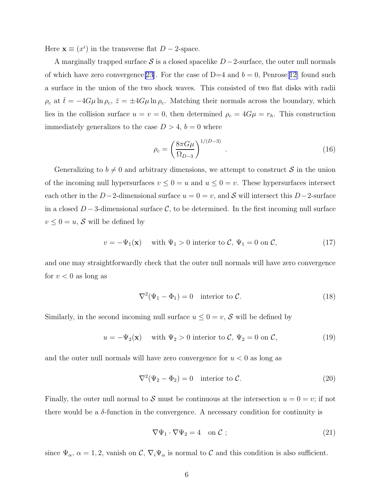<span id="page-5-0"></span>Here  $\mathbf{x} \equiv (x^i)$  in the transverse flat  $D - 2$ -space.

A marginally trapped surface S is a closed spacelike  $D-2$ -surface, the outer null normals of which have zero convergence [\[23](#page-16-0)]. For the case of D=4 and  $b = 0$ , Penrose [[12\]](#page-15-0) found such a surface in the union of the two shock waves. This consisted of two flat disks with radii  $\rho_c$  at  $\bar{t} = -4G\mu \ln \rho_c$ ,  $\bar{z} = \pm 4G\mu \ln \rho_c$ . Matching their normals across the boundary, which lies in the collision surface  $u = v = 0$ , then determined  $\rho_c = 4G\mu = r_h$ . This construction immediately generalizes to the case  $D > 4$ ,  $b = 0$  where

$$
\rho_c = \left(\frac{8\pi G\mu}{\Omega_{D-3}}\right)^{1/(D-3)}.\tag{16}
$$

Generalizing to  $b \neq 0$  and arbitrary dimensions, we attempt to construct S in the union of the incoming null hypersurfaces  $v \le 0 = u$  and  $u \le 0 = v$ . These hypersurfaces intersect each other in the D−2-dimensional surface  $u = 0 = v$ , and S will intersect this D−2-surface in a closed  $D-3$ -dimensional surface C, to be determined. In the first incoming null surface  $v \leq 0 = u$ , S will be defined by

$$
v = -\Psi_1(\mathbf{x}) \quad \text{with } \Psi_1 > 0 \text{ interior to } C, \Psi_1 = 0 \text{ on } C,
$$
 (17)

and one may straightforwardly check that the outer null normals will have zero convergence for  $v < 0$  as long as

$$
\nabla^2(\Psi_1 - \Phi_1) = 0 \quad \text{interior to } C. \tag{18}
$$

Similarly, in the second incoming null surface  $u \leq 0 = v$ , S will be defined by

$$
u = -\Psi_2(\mathbf{x}) \quad \text{with } \Psi_2 > 0 \text{ interior to } C, \Psi_2 = 0 \text{ on } C,
$$
 (19)

and the outer null normals will have zero convergence for  $u < 0$  as long as

$$
\nabla^2(\Psi_2 - \Phi_2) = 0 \quad \text{interior to } \mathcal{C}.
$$
 (20)

Finally, the outer null normal to S must be continuous at the intersection  $u = 0 = v$ ; if not there would be a  $\delta$ -function in the convergence. A necessary condition for continuity is

$$
\nabla \Psi_1 \cdot \nabla \Psi_2 = 4 \quad \text{on } \mathcal{C} \tag{21}
$$

since  $\Psi_{\alpha}$ ,  $\alpha = 1, 2$ , vanish on  $\mathcal{C}, \nabla_i \Psi_{\alpha}$  is normal to  $\mathcal{C}$  and this condition is also sufficient.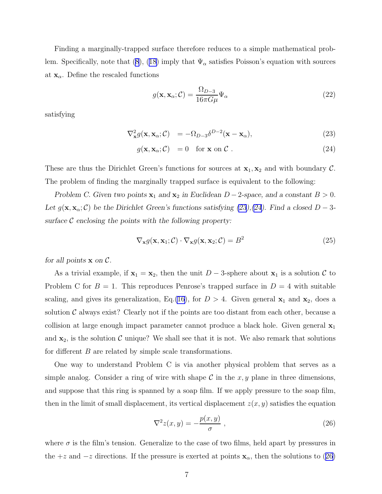<span id="page-6-0"></span>Finding a marginally-trapped surface therefore reduces to a simple mathematical prob-lem. Specifically, note that [\(8\)](#page-4-0), [\(18\)](#page-5-0) imply that  $\Psi_{\alpha}$  satisfies Poisson's equation with sources at  $\mathbf{x}_{\alpha}$ . Define the rescaled functions

$$
g(\mathbf{x}, \mathbf{x}_{\alpha}; \mathcal{C}) = \frac{\Omega_{D-3}}{16\pi G\mu} \Psi_{\alpha}
$$
 (22)

satisfying

$$
\nabla_{\mathbf{x}}^2 g(\mathbf{x}, \mathbf{x}_{\alpha}; \mathcal{C}) = -\Omega_{D-3} \delta^{D-2}(\mathbf{x} - \mathbf{x}_{\alpha}), \tag{23}
$$

$$
g(\mathbf{x}, \mathbf{x}_{\alpha}; \mathcal{C}) = 0 \quad \text{for } \mathbf{x} \text{ on } \mathcal{C} \tag{24}
$$

These are thus the Dirichlet Green's functions for sources at  $x_1, x_2$  and with boundary C. The problem of finding the marginally trapped surface is equivalent to the following:

Problem C. Given two points  $x_1$  and  $x_2$  in Euclidean  $D-2$ -space, and a constant  $B > 0$ . Let  $g(\mathbf{x}, \mathbf{x}_{\alpha}; \mathcal{C})$  be the Dirichlet Green's functions satisfying (23),(24). Find a closed  $D - 3$ surface  $\mathcal C$  enclosing the points with the following property:

$$
\nabla_{\mathbf{x}} g(\mathbf{x}, \mathbf{x}_1; \mathcal{C}) \cdot \nabla_{\mathbf{x}} g(\mathbf{x}, \mathbf{x}_2; \mathcal{C}) = B^2
$$
 (25)

for all points  $x$  on  $\mathcal{C}$ .

As a trivial example, if  $x_1 = x_2$ , then the unit  $D-3$ -sphere about  $x_1$  is a solution C to Problem C for  $B = 1$ . This reproduces Penrose's trapped surface in  $D = 4$  with suitable scaling, and gives its generalization, Eq.[\(16](#page-5-0)), for  $D > 4$ . Given general  $\mathbf{x}_1$  and  $\mathbf{x}_2$ , does a solution  $\mathcal C$  always exist? Clearly not if the points are too distant from each other, because a collision at large enough impact parameter cannot produce a black hole. Given general  $x_1$ and  $x_2$ , is the solution C unique? We shall see that it is not. We also remark that solutions for different B are related by simple scale transformations.

One way to understand Problem C is via another physical problem that serves as a simple analog. Consider a ring of wire with shape  $\mathcal C$  in the x, y plane in three dimensions, and suppose that this ring is spanned by a soap film. If we apply pressure to the soap film, then in the limit of small displacement, its vertical displacement  $z(x, y)$  satisfies the equation

$$
\nabla^2 z(x, y) = -\frac{p(x, y)}{\sigma} , \qquad (26)
$$

where  $\sigma$  is the film's tension. Generalize to the case of two films, held apart by pressures in the +z and  $-z$  directions. If the pressure is exerted at points  $\mathbf{x}_{\alpha}$ , then the solutions to (26)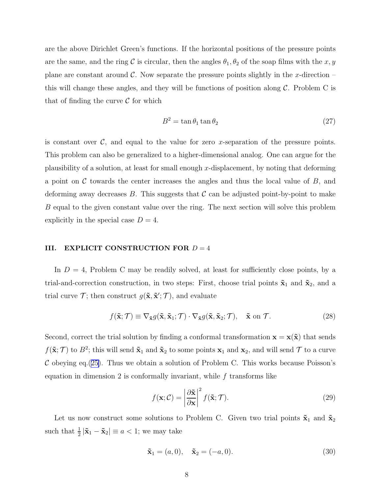are the above Dirichlet Green's functions. If the horizontal positions of the pressure points are the same, and the ring C is circular, then the angles  $\theta_1, \theta_2$  of the soap films with the x, y plane are constant around  $\mathcal C$ . Now separate the pressure points slightly in the x-direction – this will change these angles, and they will be functions of position along  $\mathcal C$ . Problem C is that of finding the curve  $\mathcal C$  for which

$$
B^2 = \tan \theta_1 \tan \theta_2 \tag{27}
$$

is constant over  $\mathcal{C}$ , and equal to the value for zero x-separation of the pressure points. This problem can also be generalized to a higher-dimensional analog. One can argue for the plausibility of a solution, at least for small enough x-displacement, by noting that deforming a point on  $\mathcal C$  towards the center increases the angles and thus the local value of  $B$ , and deforming away decreases B. This suggests that  $\mathcal C$  can be adjusted point-by-point to make B equal to the given constant value over the ring. The next section will solve this problem explicitly in the special case  $D = 4$ .

## III. EXPLICIT CONSTRUCTION FOR  $D = 4$

In  $D = 4$ , Problem C may be readily solved, at least for sufficiently close points, by a trial-and-correction construction, in two steps: First, choose trial points  $\tilde{\mathbf{x}}_1$  and  $\tilde{\mathbf{x}}_2$ , and a trial curve  $\mathcal{T}$ ; then construct  $g(\tilde{\mathbf{x}}, \tilde{\mathbf{x}}'; \mathcal{T})$ , and evaluate

$$
f(\tilde{\mathbf{x}};\mathcal{T}) \equiv \nabla_{\tilde{\mathbf{x}}} g(\tilde{\mathbf{x}}, \tilde{\mathbf{x}}_1; \mathcal{T}) \cdot \nabla_{\tilde{\mathbf{x}}} g(\tilde{\mathbf{x}}, \tilde{\mathbf{x}}_2; \mathcal{T}), \quad \tilde{\mathbf{x}} \text{ on } \mathcal{T}.
$$
 (28)

Second, correct the trial solution by finding a conformal transformation  $\mathbf{x} = \mathbf{x}(\tilde{\mathbf{x}})$  that sends  $f(\tilde{\mathbf{x}}; \mathcal{T})$  to  $B^2$ ; this will send  $\tilde{\mathbf{x}}_1$  and  $\tilde{\mathbf{x}}_2$  to some points  $\mathbf{x}_1$  and  $\mathbf{x}_2$ , and will send  $\mathcal{T}$  to a curve  $\mathcal C$  obeying eq.([25\)](#page-6-0). Thus we obtain a solution of Problem C. This works because Poisson's equation in dimension 2 is conformally invariant, while  $f$  transforms like

$$
f(\mathbf{x}; \mathcal{C}) = \left| \frac{\partial \tilde{\mathbf{x}}}{\partial \mathbf{x}} \right|^2 f(\tilde{\mathbf{x}}; \mathcal{T}).
$$
 (29)

Let us now construct some solutions to Problem C. Given two trial points  $\tilde{\mathbf{x}}_1$  and  $\tilde{\mathbf{x}}_2$ such that  $\frac{1}{2}|\tilde{\mathbf{x}}_1 - \tilde{\mathbf{x}}_2| \equiv a < 1$ ; we may take

$$
\tilde{\mathbf{x}}_1 = (a, 0), \quad \tilde{\mathbf{x}}_2 = (-a, 0). \tag{30}
$$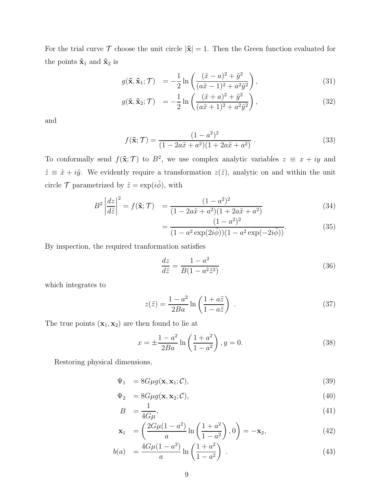<span id="page-8-0"></span>For the trial curve  $\mathcal T$  choose the unit circle  $|\tilde{\mathbf x}| = 1$ . Then the Green function evaluated for the points  $\tilde{\mathbf{x}}_1$  and  $\tilde{\mathbf{x}}_2$  is

$$
g(\tilde{\mathbf{x}}, \tilde{\mathbf{x}}_1; \mathcal{T}) = -\frac{1}{2} \ln \left( \frac{(\tilde{x} - a)^2 + \tilde{y}^2}{(a\tilde{x} - 1)^2 + a^2 \tilde{y}^2} \right), \tag{31}
$$

$$
g(\tilde{\mathbf{x}}, \tilde{\mathbf{x}}_2; \mathcal{T}) = -\frac{1}{2} \ln \left( \frac{(\tilde{x} + a)^2 + \tilde{y}^2}{(a\tilde{x} + 1)^2 + a^2 \tilde{y}^2} \right), \tag{32}
$$

and

$$
f(\tilde{\mathbf{x}}; \mathcal{T}) = \frac{(1 - a^2)^2}{(1 - 2a\tilde{x} + a^2)(1 + 2a\tilde{x} + a^2)}.
$$
 (33)

To conformally send  $f(\tilde{\mathbf{x}}; \mathcal{T})$  to  $B^2$ , we use complex analytic variables  $z \equiv x + iy$  and  $\tilde{z} \equiv \tilde{x} + i\tilde{y}$ . We evidently require a transformation  $z(\tilde{z})$ , analytic on and within the unit circle  $\mathcal T$  parametrized by  $\tilde{z} = \exp(i\tilde{\phi})$ , with

$$
B^{2} \left| \frac{dz}{d\tilde{z}} \right|^{2} = f(\tilde{\mathbf{x}}; \mathcal{T}) = \frac{(1 - a^{2})^{2}}{(1 - 2a\tilde{x} + a^{2})(1 + 2a\tilde{x} + a^{2})}
$$
(34)

$$
= \frac{(1 - a^2)^2}{(1 - a^2 \exp(2i\tilde{\phi}))(1 - a^2 \exp(-2i\tilde{\phi}))}.
$$
(35)

By inspection, the required tranformation satisfies

$$
\frac{dz}{d\tilde{z}} = \frac{1 - a^2}{B(1 - a^2 \tilde{z}^2)}\tag{36}
$$

which integrates to

$$
z(\tilde{z}) = \frac{1 - a^2}{2Ba} \ln\left(\frac{1 + a\tilde{z}}{1 - a\tilde{z}}\right) \tag{37}
$$

The true points  $(\mathbf{x}_1, \mathbf{x}_2)$  are then found to lie at

$$
x = \pm \frac{1 - a^2}{2Ba} \ln \left( \frac{1 + a^2}{1 - a^2} \right), y = 0.
$$
 (38)

Restoring physical dimensions,

$$
\Psi_1 = 8G\mu g(\mathbf{x}, \mathbf{x}_1; \mathcal{C}),\tag{39}
$$

$$
\Psi_2 = 8G\mu g(\mathbf{x}, \mathbf{x}_2; \mathcal{C}),\tag{40}
$$

$$
B = \frac{1}{4G\mu},\tag{41}
$$

$$
\mathbf{x}_1 = \left(\frac{2G\mu(1-a^2)}{a}\ln\left(\frac{1+a^2}{1-a^2}\right), 0\right) = -\mathbf{x}_2,\tag{42}
$$

$$
b(a) = \frac{4G\mu(1-a^2)}{a} \ln\left(\frac{1+a^2}{1-a^2}\right) . \tag{43}
$$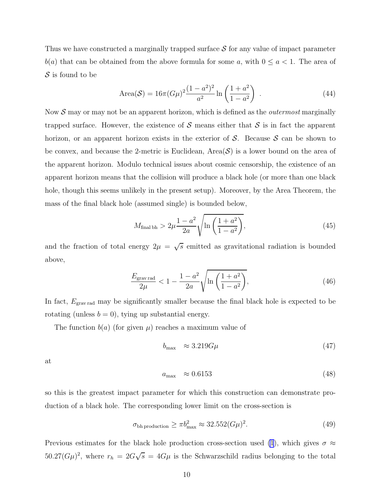<span id="page-9-0"></span>Thus we have constructed a marginally trapped surface  $\mathcal S$  for any value of impact parameter  $b(a)$  that can be obtained from the above formula for some a, with  $0 \le a < 1$ . The area of  $\mathcal S$  is found to be

Area(S) = 
$$
16\pi (G\mu)^2 \frac{(1-a^2)^2}{a^2} \ln\left(\frac{1+a^2}{1-a^2}\right)
$$
. (44)

Now  $S$  may or may not be an apparent horizon, which is defined as the *outermost* marginally trapped surface. However, the existence of S means either that S is in fact the apparent horizon, or an apparent horizon exists in the exterior of  $S$ . Because  $S$  can be shown to be convex, and because the 2-metric is Euclidean, Area $(\mathcal{S})$  is a lower bound on the area of the apparent horizon. Modulo technical issues about cosmic censorship, the existence of an apparent horizon means that the collision will produce a black hole (or more than one black hole, though this seems unlikely in the present setup). Moreover, by the Area Theorem, the mass of the final black hole (assumed single) is bounded below,

$$
M_{\text{final bh}} > 2\mu \frac{1 - a^2}{2a} \sqrt{\ln\left(\frac{1 + a^2}{1 - a^2}\right)},
$$
\n(45)

and the fraction of total energy  $2\mu = \sqrt{s}$  emitted as gravitational radiation is bounded above,

$$
\frac{E_{\text{grav}\text{ rad}}}{2\mu} < 1 - \frac{1 - a^2}{2a} \sqrt{\ln\left(\frac{1 + a^2}{1 - a^2}\right)},\tag{46}
$$

In fact,  $E_{\text{grav}\text{ rad}}$  may be significantly smaller because the final black hole is expected to be rotating (unless  $b = 0$ ), tying up substantial energy.

The function  $b(a)$  (for given  $\mu$ ) reaches a maximum value of

$$
b_{\text{max}} \approx 3.219 G \mu \tag{47}
$$

at

$$
a_{\text{max}} \approx 0.6153 \tag{48}
$$

so this is the greatest impact parameter for which this construction can demonstrate production of a black hole. The corresponding lower limit on the cross-section is

$$
\sigma_{\text{bh production}} \ge \pi b_{\text{max}}^2 \approx 32.552 (G\mu)^2. \tag{49}
$$

Previous estimates for the black hole production cross-section used [\(1](#page-1-0)), which gives  $\sigma \approx$  $50.27(G\mu)^2$ , where  $r_h = 2G\sqrt{s} = 4G\mu$  is the Schwarzschild radius belonging to the total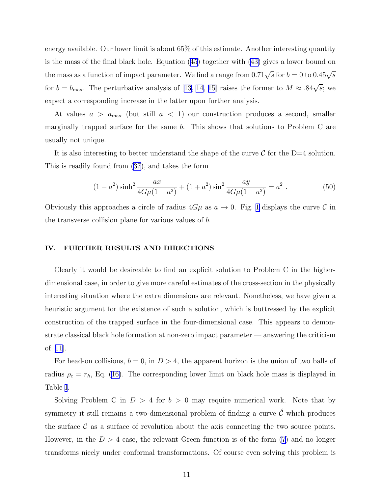energy available. Our lower limit is about 65% of this estimate. Another interesting quantity is the mass of the final black hole. Equation [\(45\)](#page-9-0) together with([43\)](#page-8-0) gives a lower bound on the mass as a function of impact parameter. We find a range from  $0.71\sqrt{s}$  for  $b = 0$  to  $0.45\sqrt{s}$ for  $b = b_{\text{max}}$ . The perturbative analysis of [\[13, 14](#page-15-0), [15](#page-15-0)] raises the former to  $M \approx .84\sqrt{s}$ ; we expect a corresponding increase in the latter upon further analysis.

At values  $a > a_{\text{max}}$  (but still  $a < 1$ ) our construction produces a second, smaller marginally trapped surface for the same b. This shows that solutions to Problem C are usually not unique.

It is also interesting to better understand the shape of the curve  $\mathcal C$  for the D=4 solution. This is readily found from [\(37\)](#page-8-0), and takes the form

$$
(1 - a2) \sinh2 \frac{ax}{4G\mu(1 - a2)} + (1 + a2) \sin2 \frac{ay}{4G\mu(1 - a2)} = a2.
$$
 (50)

Obviously this approaches a circle of radius  $4G\mu$  as  $a \to 0$ . Fig. [1](#page-11-0) displays the curve C in the transverse collision plane for various values of b.

#### IV. FURTHER RESULTS AND DIRECTIONS

Clearly it would be desireable to find an explicit solution to Problem C in the higherdimensional case, in order to give more careful estimates of the cross-section in the physically interesting situation where the extra dimensions are relevant. Nonetheless, we have given a heuristic argument for the existence of such a solution, which is buttressed by the explicit construction of the trapped surface in the four-dimensional case. This appears to demonstrate classical black hole formation at non-zero impact parameter — answering the criticism of[[11](#page-15-0)].

For head-on collisions,  $b = 0$ , in  $D > 4$ , the apparent horizon is the union of two balls of radius $\rho_c = r_h$ , Eq. ([16\)](#page-5-0). The corresponding lower limit on black hole mass is displayed in Table [I](#page-12-0).

Solving Problem C in  $D > 4$  for  $b > 0$  may require numerical work. Note that by symmetry it still remains a two-dimensional problem of finding a curve  $\hat{\mathcal{C}}$  which produces the surface  $\mathcal C$  as a surface of revolution about the axis connecting the two source points. However,in the  $D > 4$  case, the relevant Green function is of the form ([7\)](#page-4-0) and no longer transforms nicely under conformal transformations. Of course even solving this problem is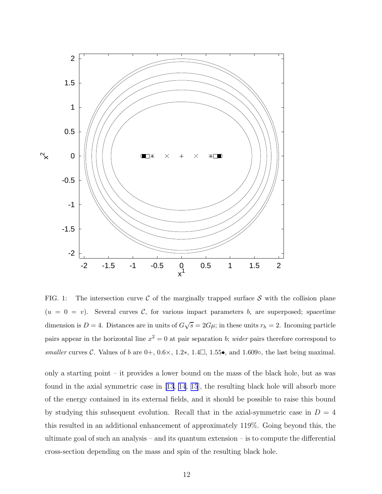<span id="page-11-0"></span>

FIG. 1: The intersection curve  $\mathcal C$  of the marginally trapped surface  $\mathcal S$  with the collision plane  $(u = 0 = v)$ . Several curves C, for various impact parameters b, are superposed; spacetime dimension is  $D=4$ . Distances are in units of  $G\sqrt{s} = 2G\mu$ ; in these units  $r_h = 2$ . Incoming particle pairs appear in the horizontal line  $x^2 = 0$  at pair separation b; *wider* pairs therefore correspond to smaller curves C. Values of b are  $0+, 0.6 \times, 1.2*, 1.4\Box, 1.55\bullet$ , and 1.609 $\circ$ , the last being maximal.

only a starting point – it provides a lower bound on the mass of the black hole, but as was found in the axial symmetric case in  $\vert 13, 14, 15 \vert$  $\vert 13, 14, 15 \vert$  $\vert 13, 14, 15 \vert$  $\vert 13, 14, 15 \vert$  $\vert 13, 14, 15 \vert$ , the resulting black hole will absorb more of the energy contained in its external fields, and it should be possible to raise this bound by studying this subsequent evolution. Recall that in the axial-symmetric case in  $D = 4$ this resulted in an additional enhancement of approximately 119%. Going beyond this, the ultimate goal of such an analysis – and its quantum extension – is to compute the differential cross-section depending on the mass and spin of the resulting black hole.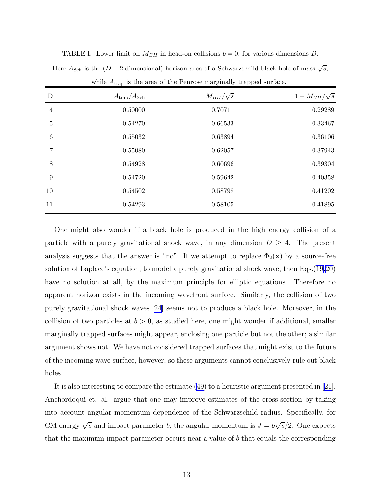| D                | $A_{\rm trap}/A_{\rm Sch}$ | $M_{BH}/\sqrt{s}$ | $1-M_{BH}/\sqrt{s}$ |
|------------------|----------------------------|-------------------|---------------------|
| $\overline{4}$   | 0.50000                    | 0.70711           | 0.29289             |
| $\overline{5}$   | 0.54270                    | 0.66533           | 0.33467             |
| $\,6\,$          | 0.55032                    | 0.63894           | 0.36106             |
| 7                | 0.55080                    | 0.62057           | 0.37943             |
| 8                | 0.54928                    | 0.60696           | 0.39304             |
| $\boldsymbol{9}$ | 0.54720                    | 0.59642           | 0.40358             |
| 10               | 0.54502                    | 0.58798           | 0.41202             |
| 11               | 0.54293                    | 0.58105           | 0.41895             |

<span id="page-12-0"></span>TABLE I: Lower limit on  $M_{BH}$  in head-on collisions  $b = 0$ , for various dimensions D. Here  $A_{\text{Sch}}$  is the  $(D - 2$ -dimensional) horizon area of a Schwarzschild black hole of mass  $\sqrt{s}$ ,

|  |  |  | while $A_{trap}$ is the area of the Penrose marginally trapped surface. |  |  |  |
|--|--|--|-------------------------------------------------------------------------|--|--|--|
|--|--|--|-------------------------------------------------------------------------|--|--|--|

One might also wonder if a black hole is produced in the high energy collision of a particle with a purely gravitational shock wave, in any dimension  $D \geq 4$ . The present analysis suggests that the answer is "no". If we attempt to replace  $\Phi_2(\mathbf{x})$  by a source-free solution of Laplace's equation, to model a purely gravitational shock wave, then Eqs.([19,20\)](#page-5-0) have no solution at all, by the maximum principle for elliptic equations. Therefore no apparent horizon exists in the incoming wavefront surface. Similarly, the collision of two purely gravitational shock waves [\[24](#page-16-0)] seems not to produce a black hole. Moreover, in the collision of two particles at  $b > 0$ , as studied here, one might wonder if additional, smaller marginally trapped surfaces might appear, enclosing one particle but not the other; a similar argument shows not. We have not considered trapped surfaces that might exist to the future of the incoming wave surface, however, so these arguments cannot conclusively rule out black holes.

It is also interesting to compare the estimate [\(49](#page-9-0)) to a heuristic argument presented in [\[21\]](#page-15-0). Anchordoqui et. al. argue that one may improve estimates of the cross-section by taking into account angular momentum dependence of the Schwarzschild radius. Specifically, for CM energy  $\sqrt{s}$  and impact parameter b, the angular momentum is  $J = b\sqrt{s}/2$ . One expects that the maximum impact parameter occurs near a value of  $b$  that equals the corresponding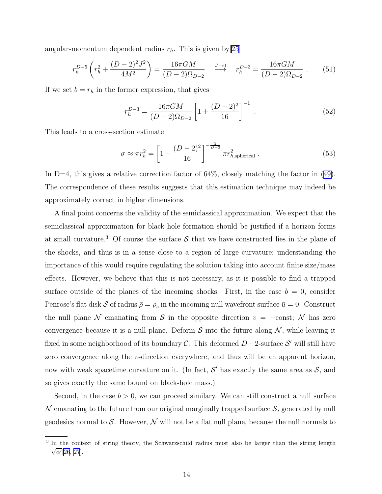angular-momentum dependent radius  $r_h$ . This is given by [\[25\]](#page-16-0)

$$
r_h^{D-5} \left( r_h^2 + \frac{(D-2)^2 J^2}{4M^2} \right) = \frac{16\pi GM}{(D-2)\Omega_{D-2}} \quad \stackrel{J \to 0}{\longrightarrow} \quad r_h^{D-3} = \frac{16\pi GM}{(D-2)\Omega_{D-2}} \,. \tag{51}
$$

If we set  $b = r_h$  in the former expression, that gives

$$
r_h^{D-3} = \frac{16\pi GM}{(D-2)\Omega_{D-2}} \left[ 1 + \frac{(D-2)^2}{16} \right]^{-1} . \tag{52}
$$

This leads to a cross-section estimate

$$
\sigma \approx \pi r_h^2 = \left[1 + \frac{(D-2)^2}{16}\right]^{-\frac{2}{D-3}} \pi r_{h,\text{spherical}}^2 . \tag{53}
$$

In $D=4$ , this gives a relative correction factor of 64%, closely matching the factor in ([49\)](#page-9-0). The correspondence of these results suggests that this estimation technique may indeed be approximately correct in higher dimensions.

A final point concerns the validity of the semiclassical approximation. We expect that the semiclassical approximation for black hole formation should be justified if a horizon forms at small curvature.<sup>3</sup> Of course the surface  $S$  that we have constructed lies in the plane of the shocks, and thus is in a sense close to a region of large curvature; understanding the importance of this would require regulating the solution taking into account finite size/mass effects. However, we believe that this is not necessary, as it is possible to find a trapped surface outside of the planes of the incoming shocks. First, in the case  $b = 0$ , consider Penrose's flat disk S of radius  $\bar{\rho} = \rho_c$  in the incoming null wavefront surface  $\bar{u} = 0$ . Construct the null plane N emanating from S in the opposite direction  $v = -\text{const}$ ; N has zero convergence because it is a null plane. Deform  $S$  into the future along  $N$ , while leaving it fixed in some neighborhood of its boundary  $\mathcal{C}$ . This deformed  $D-2$ -surface  $\mathcal{S}'$  will still have zero convergence along the v-direction everywhere, and thus will be an apparent horizon, now with weak spacetime curvature on it. (In fact,  $\mathcal{S}'$  has exactly the same area as  $\mathcal{S}$ , and so gives exactly the same bound on black-hole mass.)

Second, in the case  $b > 0$ , we can proceed similary. We can still construct a null surface  $\mathcal N$  emanating to the future from our original marginally trapped surface  $\mathcal S$ , generated by null geodesics normal to S. However,  $\mathcal N$  will not be a flat null plane, because the null normals to

<sup>&</sup>lt;sup>3</sup> In the context of string theory, the Schwarzschild radius must also be larger than the string length  $\sqrt{\alpha'}$ [\[26](#page-16-0), [27](#page-16-0)].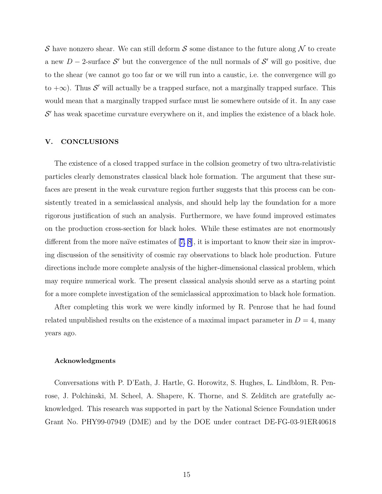S have nonzero shear. We can still deform S some distance to the future along  $\mathcal N$  to create a new  $D-2$ -surface  $\mathcal{S}'$  but the convergence of the null normals of  $\mathcal{S}'$  will go positive, due to the shear (we cannot go too far or we will run into a caustic, i.e. the convergence will go to  $+\infty$ ). Thus S' will actually be a trapped surface, not a marginally trapped surface. This would mean that a marginally trapped surface must lie somewhere outside of it. In any case  $\mathcal{S}'$  has weak spacetime curvature everywhere on it, and implies the existence of a black hole.

### V. CONCLUSIONS

The existence of a closed trapped surface in the collsion geometry of two ultra-relativistic particles clearly demonstrates classical black hole formation. The argument that these surfaces are present in the weak curvature region further suggests that this process can be consistently treated in a semiclassical analysis, and should help lay the foundation for a more rigorous justification of such an analysis. Furthermore, we have found improved estimates on the production cross-section for black holes. While these estimates are not enormously differentfrom the more naïve estimates of  $[7, 8]$  $[7, 8]$  $[7, 8]$ , it is important to know their size in improving discussion of the sensitivity of cosmic ray observations to black hole production. Future directions include more complete analysis of the higher-dimensional classical problem, which may require numerical work. The present classical analysis should serve as a starting point for a more complete investigation of the semiclassical approximation to black hole formation.

After completing this work we were kindly informed by R. Penrose that he had found related unpublished results on the existence of a maximal impact parameter in  $D = 4$ , many years ago.

#### Acknowledgments

Conversations with P. D'Eath, J. Hartle, G. Horowitz, S. Hughes, L. Lindblom, R. Penrose, J. Polchinski, M. Scheel, A. Shapere, K. Thorne, and S. Zelditch are gratefully acknowledged. This research was supported in part by the National Science Foundation under Grant No. PHY99-07949 (DME) and by the DOE under contract DE-FG-03-91ER40618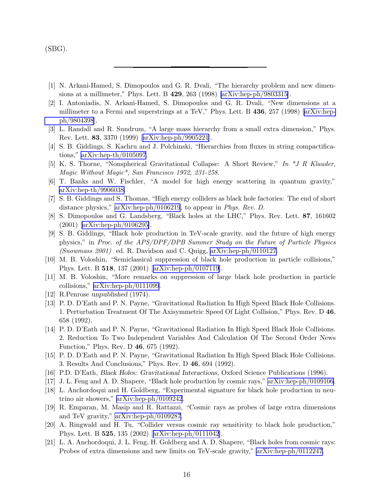<span id="page-15-0"></span>(SBG).

- [1] N. Arkani-Hamed, S. Dimopoulos and G. R. Dvali, "The hierarchy problem and new dimensions at a millimeter," Phys. Lett. B 429, 263 (1998) [\[arXiv:hep-ph/9803315](http://arxiv.org/abs/hep-ph/9803315)].
- [2] I. Antoniadis, N. Arkani-Hamed, S. Dimopoulos and G. R. Dvali, "New dimensions at a millimeter to a Fermi and superstrings at a TeV," Phys. Lett. B 436, 257 (1998)[[arXiv:hep](http://arxiv.org/abs/hep-ph/9804398)[ph/9804398](http://arxiv.org/abs/hep-ph/9804398)].
- [3] L. Randall and R. Sundrum, "A large mass hierarchy from a small extra dimension," Phys. Rev. Lett. 83, 3370 (1999)[[arXiv:hep-ph/9905221](http://arxiv.org/abs/hep-ph/9905221)].
- [4] S. B. Giddings, S. Kachru and J. Polchinski, "Hierarchies from fluxes in string compactifications," [arXiv:hep-th/0105097](http://arxiv.org/abs/hep-th/0105097).
- [5] K. S. Thorne, "Nonspherical Gravitational Collapse: A Short Review," In \*J R Klauder, Magic Without Magic\*, San Francisco 1972, 231-258.
- [6] T. Banks and W. Fischler, "A model for high energy scattering in quantum gravity," [arXiv:hep-th/9906038.](http://arxiv.org/abs/hep-th/9906038)
- [7] S. B. Giddings and S. Thomas, "High energy colliders as black hole factories: The end of short distance physics," [arXiv:hep-ph/0106219](http://arxiv.org/abs/hep-ph/0106219), to appear in Phys. Rev. D.
- [8] S. Dimopoulos and G. Landsberg, "Black holes at the LHC," Phys. Rev. Lett. 87, 161602 (2001)[[arXiv:hep-ph/0106295\]](http://arxiv.org/abs/hep-ph/0106295).
- [9] S. B. Giddings, "Black hole production in TeV-scale gravity, and the future of high energy physics," in Proc. of the APS/DPF/DPB Summer Study on the Future of Particle Physics (Snowmass 2001) ed. R. Davidson and C. Quigg, [arXiv:hep-ph/0110127.](http://arxiv.org/abs/hep-ph/0110127)
- [10] M. B. Voloshin, "Semiclassical suppression of black hole production in particle collisions," Phys. Lett. B 518, 137 (2001)[[arXiv:hep-ph/0107119](http://arxiv.org/abs/hep-ph/0107119)].
- [11] M. B. Voloshin, "More remarks on suppression of large black hole production in particle collisions," [arXiv:hep-ph/0111099](http://arxiv.org/abs/hep-ph/0111099).
- [12] R.Penrose unpublished (1974).
- [13] P. D. D'Eath and P. N. Payne, "Gravitational Radiation In High Speed Black Hole Collisions. 1. Perturbation Treatment Of The Axisymmetric Speed Of Light Collision," Phys. Rev. D 46, 658 (1992).
- [14] P. D. D'Eath and P. N. Payne, "Gravitational Radiation In High Speed Black Hole Collisions. 2. Reduction To Two Independent Variables And Calculation Of The Second Order News Function," Phys. Rev. D 46, 675 (1992).
- [15] P. D. D'Eath and P. N. Payne, "Gravitational Radiation In High Speed Black Hole Collisions. 3. Results And Conclusions," Phys. Rev. D 46, 694 (1992).
- [16] P.D. D'Eath, Black Holes: Gravitational Interactions, Oxford Science Publications (1996).
- [17] J. L. Feng and A. D. Shapere, "Black hole production by cosmic rays," [arXiv:hep-ph/0109106.](http://arxiv.org/abs/hep-ph/0109106)
- [18] L. Anchordoqui and H. Goldberg, "Experimental signature for black hole production in neutrino air showers," [arXiv:hep-ph/0109242](http://arxiv.org/abs/hep-ph/0109242).
- [19] R. Emparan, M. Masip and R. Rattazzi, "Cosmic rays as probes of large extra dimensions and TeV gravity," [arXiv:hep-ph/0109287](http://arxiv.org/abs/hep-ph/0109287).
- [20] A. Ringwald and H. Tu, "Collider versus cosmic ray sensitivity to black hole production," Phys. Lett. B 525, 135 (2002)[[arXiv:hep-ph/0111042](http://arxiv.org/abs/hep-ph/0111042)].
- [21] L. A. Anchordoqui, J. L. Feng, H. Goldberg and A. D. Shapere, "Black holes from cosmic rays: Probes of extra dimensions and new limits on TeV-scale gravity," [arXiv:hep-ph/0112247.](http://arxiv.org/abs/hep-ph/0112247)